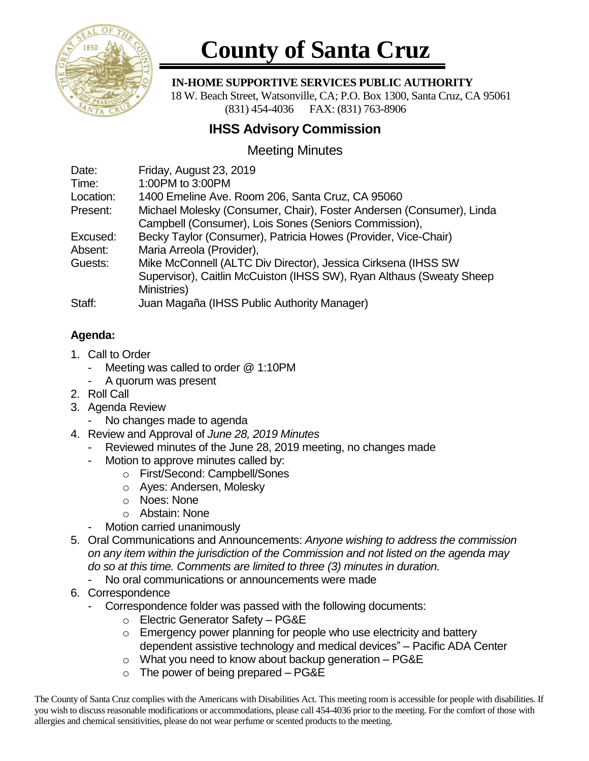

# **County of Santa Cruz**

#### **IN-HOME SUPPORTIVE SERVICES PUBLIC AUTHORITY**

 18 W. Beach Street, Watsonville, CA; P.O. Box 1300, Santa Cruz, CA 95061 (831) 454-4036 FAX: (831) 763-8906

## **IHSS Advisory Commission**

## Meeting Minutes

| Date:     | Friday, August 23, 2019                                              |
|-----------|----------------------------------------------------------------------|
| Time:     | 1:00PM to 3:00PM                                                     |
| Location: | 1400 Emeline Ave. Room 206, Santa Cruz, CA 95060                     |
| Present:  | Michael Molesky (Consumer, Chair), Foster Andersen (Consumer), Linda |
|           | Campbell (Consumer), Lois Sones (Seniors Commission),                |
| Excused:  | Becky Taylor (Consumer), Patricia Howes (Provider, Vice-Chair)       |
| Absent:   | Maria Arreola (Provider),                                            |
| Guests:   | Mike McConnell (ALTC Div Director), Jessica Cirksena (IHSS SW        |
|           | Supervisor), Caitlin McCuiston (IHSS SW), Ryan Althaus (Sweaty Sheep |
|           | Ministries)                                                          |
| Staff:    | Juan Magaña (IHSS Public Authority Manager)                          |

### **Agenda:**

- 1. Call to Order
	- Meeting was called to order @ 1:10PM
	- A quorum was present
- 2. Roll Call
- 3. Agenda Review
	- No changes made to agenda
- 4. Review and Approval of *June 28, 2019 Minutes*
	- Reviewed minutes of the June 28, 2019 meeting, no changes made
	- Motion to approve minutes called by:
		- o First/Second: Campbell/Sones
		- o Ayes: Andersen, Molesky
		- o Noes: None
		- o Abstain: None
	- Motion carried unanimously
- 5. Oral Communications and Announcements: *Anyone wishing to address the commission on any item within the jurisdiction of the Commission and not listed on the agenda may do so at this time. Comments are limited to three (3) minutes in duration.*
	- No oral communications or announcements were made
- 6. Correspondence
	- Correspondence folder was passed with the following documents:
		- o Electric Generator Safety PG&E
		- o Emergency power planning for people who use electricity and battery dependent assistive technology and medical devices" – Pacific ADA Center
		- o What you need to know about backup generation PG&E
		- $\circ$  The power of being prepared PG&E

The County of Santa Cruz complies with the Americans with Disabilities Act. This meeting room is accessible for people with disabilities. If you wish to discuss reasonable modifications or accommodations, please call 454-4036 prior to the meeting. For the comfort of those with allergies and chemical sensitivities, please do not wear perfume or scented products to the meeting.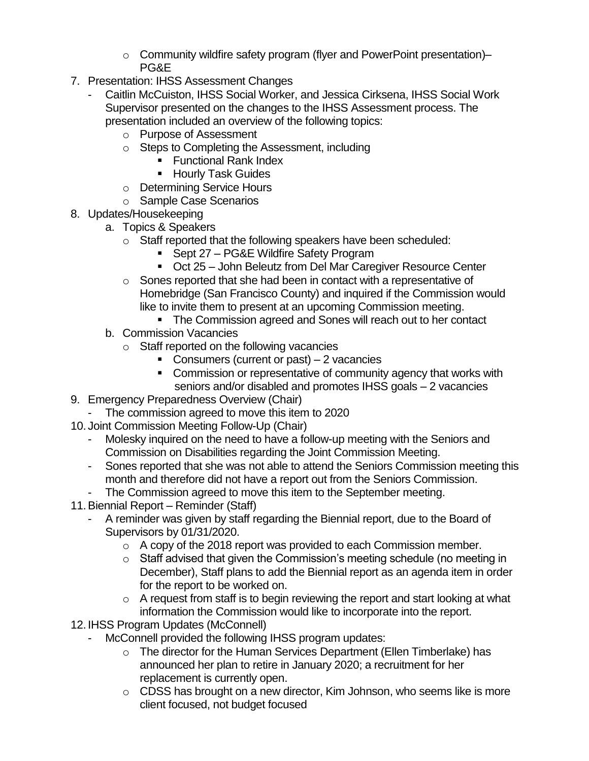- $\circ$  Community wildfire safety program (flyer and PowerPoint presentation)– PG&E
- 7. Presentation: IHSS Assessment Changes
	- Caitlin McCuiston, IHSS Social Worker, and Jessica Cirksena, IHSS Social Work Supervisor presented on the changes to the IHSS Assessment process. The presentation included an overview of the following topics:
		- o Purpose of Assessment
		- o Steps to Completing the Assessment, including
			- Functional Rank Index
			- Hourly Task Guides
		- o Determining Service Hours
		- o Sample Case Scenarios
- 8. Updates/Housekeeping
	- a. Topics & Speakers
		- o Staff reported that the following speakers have been scheduled:
			- Sept 27 PG&E Wildfire Safety Program
			- Oct 25 John Beleutz from Del Mar Caregiver Resource Center
		- o Sones reported that she had been in contact with a representative of Homebridge (San Francisco County) and inquired if the Commission would like to invite them to present at an upcoming Commission meeting.
			- The Commission agreed and Sones will reach out to her contact
	- b. Commission Vacancies
		- o Staff reported on the following vacancies
			- Consumers (current or past)  $-2$  vacancies
			- Commission or representative of community agency that works with seniors and/or disabled and promotes IHSS goals – 2 vacancies
- 9. Emergency Preparedness Overview (Chair)
	- The commission agreed to move this item to 2020
- 10. Joint Commission Meeting Follow-Up (Chair)
	- Molesky inquired on the need to have a follow-up meeting with the Seniors and Commission on Disabilities regarding the Joint Commission Meeting.
	- Sones reported that she was not able to attend the Seniors Commission meeting this month and therefore did not have a report out from the Seniors Commission.
	- The Commission agreed to move this item to the September meeting.
- 11.Biennial Report Reminder (Staff)
	- A reminder was given by staff regarding the Biennial report, due to the Board of Supervisors by 01/31/2020.
		- o A copy of the 2018 report was provided to each Commission member.
		- $\circ$  Staff advised that given the Commission's meeting schedule (no meeting in December), Staff plans to add the Biennial report as an agenda item in order for the report to be worked on.
		- o A request from staff is to begin reviewing the report and start looking at what information the Commission would like to incorporate into the report.
- 12. IHSS Program Updates (McConnell)
	- McConnell provided the following IHSS program updates:
		- o The director for the Human Services Department (Ellen Timberlake) has announced her plan to retire in January 2020; a recruitment for her replacement is currently open.
		- o CDSS has brought on a new director, Kim Johnson, who seems like is more client focused, not budget focused